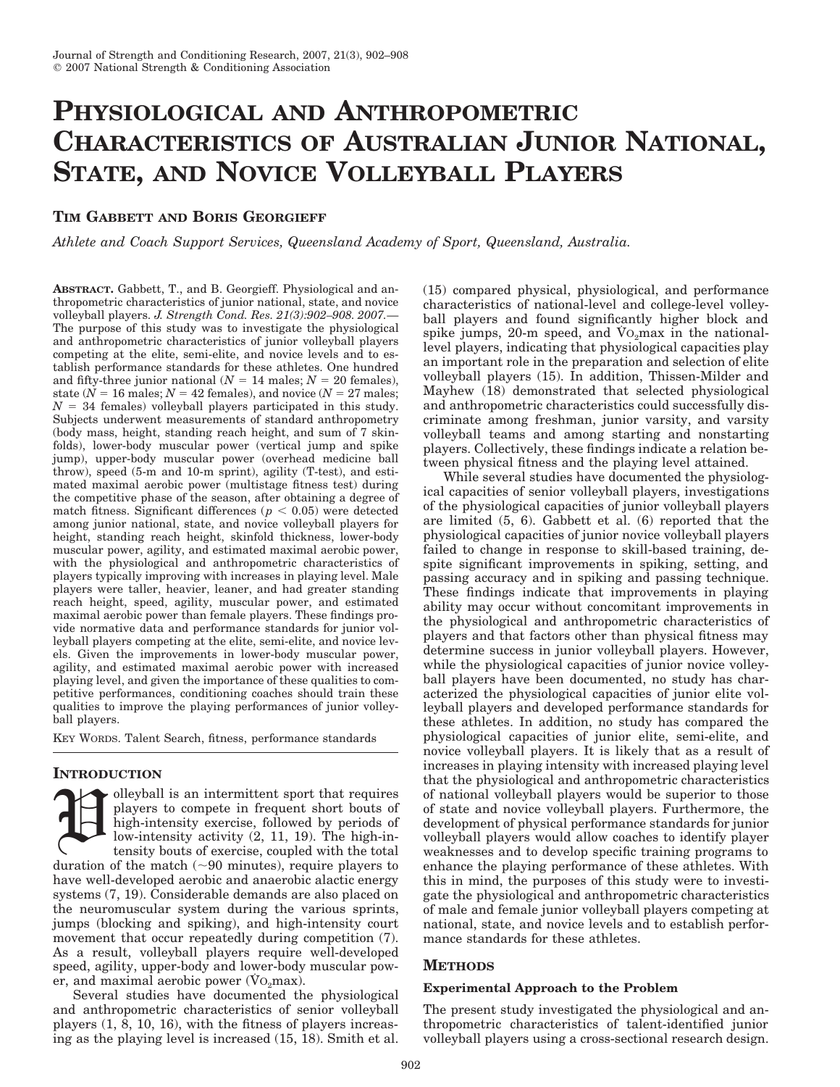# **PHYSIOLOGICAL AND ANTHROPOMETRIC CHARACTERISTICS OF AUSTRALIAN JUNIOR NATIONAL, STATE, AND NOVICE VOLLEYBALL PLAYERS**

# **TIM GABBETT AND BORIS GEORGIEFF**

*Athlete and Coach Support Services, Queensland Academy of Sport, Queensland, Australia.*

**ABSTRACT.** Gabbett, T., and B. Georgieff. Physiological and anthropometric characteristics of junior national, state, and novice volleyball players. *J. Strength Cond. Res. 21(3):902–908. 2007.*— The purpose of this study was to investigate the physiological and anthropometric characteristics of junior volleyball players competing at the elite, semi-elite, and novice levels and to establish performance standards for these athletes. One hundred and fifty-three junior national  $(N = 14 \text{ males}; N = 20 \text{ females}),$ state ( $N = 16$  males;  $N = 42$  females), and novice ( $N = 27$  males;  $N = 34$  females) volleyball players participated in this study. Subjects underwent measurements of standard anthropometry (body mass, height, standing reach height, and sum of 7 skinfolds), lower-body muscular power (vertical jump and spike jump), upper-body muscular power (overhead medicine ball throw), speed (5-m and 10-m sprint), agility (T-test), and estimated maximal aerobic power (multistage fitness test) during the competitive phase of the season, after obtaining a degree of match fitness. Significant differences ( $p < 0.05$ ) were detected among junior national, state, and novice volleyball players for height, standing reach height, skinfold thickness, lower-body muscular power, agility, and estimated maximal aerobic power, with the physiological and anthropometric characteristics of players typically improving with increases in playing level. Male players were taller, heavier, leaner, and had greater standing reach height, speed, agility, muscular power, and estimated maximal aerobic power than female players. These findings provide normative data and performance standards for junior volleyball players competing at the elite, semi-elite, and novice levels. Given the improvements in lower-body muscular power, agility, and estimated maximal aerobic power with increased playing level, and given the importance of these qualities to competitive performances, conditioning coaches should train these qualities to improve the playing performances of junior volleyball players.

KEY WORDS. Talent Search, fitness, performance standards

# **INTRODUCTION**

olleyball is an intermittent sport that requires<br>players to compete in frequent short bouts of<br>high-intensity exercise, followed by periods of<br>low-intensity activity (2, 11, 19). The high-in-<br>tensity bouts of exercise, cou players to compete in frequent short bouts of high-intensity exercise, followed by periods of low-intensity activity (2, 11, 19). The high-intensity bouts of exercise, coupled with the total duration of the match  $(\sim 90 \text{ minutes})$ , require players to have well-developed aerobic and anaerobic alactic energy systems (7, 19). Considerable demands are also placed on the neuromuscular system during the various sprints, jumps (blocking and spiking), and high-intensity court movement that occur repeatedly during competition  $(7)$ . As a result, volleyball players require well-developed speed, agility, upper-body and lower-body muscular power, and maximal aerobic power  $(\dot{V}$ <sub>2</sub>max).

Several studies have documented the physiological and anthropometric characteristics of senior volleyball players (1, 8, 10, 16), with the fitness of players increasing as the playing level is increased (15, 18). Smith et al. (15) compared physical, physiological, and performance characteristics of national-level and college-level volleyball players and found significantly higher block and spike jumps, 20-m speed, and  $\overline{V}O_2$  max in the nationallevel players, indicating that physiological capacities play an important role in the preparation and selection of elite volleyball players (15). In addition, Thissen-Milder and Mayhew (18) demonstrated that selected physiological and anthropometric characteristics could successfully discriminate among freshman, junior varsity, and varsity volleyball teams and among starting and nonstarting players. Collectively, these findings indicate a relation between physical fitness and the playing level attained.

While several studies have documented the physiological capacities of senior volleyball players, investigations of the physiological capacities of junior volleyball players are limited (5, 6). Gabbett et al. (6) reported that the physiological capacities of junior novice volleyball players failed to change in response to skill-based training, despite significant improvements in spiking, setting, and passing accuracy and in spiking and passing technique. These findings indicate that improvements in playing ability may occur without concomitant improvements in the physiological and anthropometric characteristics of players and that factors other than physical fitness may determine success in junior volleyball players. However, while the physiological capacities of junior novice volleyball players have been documented, no study has characterized the physiological capacities of junior elite volleyball players and developed performance standards for these athletes. In addition, no study has compared the physiological capacities of junior elite, semi-elite, and novice volleyball players. It is likely that as a result of increases in playing intensity with increased playing level that the physiological and anthropometric characteristics of national volleyball players would be superior to those of state and novice volleyball players. Furthermore, the development of physical performance standards for junior volleyball players would allow coaches to identify player weaknesses and to develop specific training programs to enhance the playing performance of these athletes. With this in mind, the purposes of this study were to investigate the physiological and anthropometric characteristics of male and female junior volleyball players competing at national, state, and novice levels and to establish performance standards for these athletes.

# **METHODS**

## **Experimental Approach to the Problem**

The present study investigated the physiological and anthropometric characteristics of talent-identified junior volleyball players using a cross-sectional research design.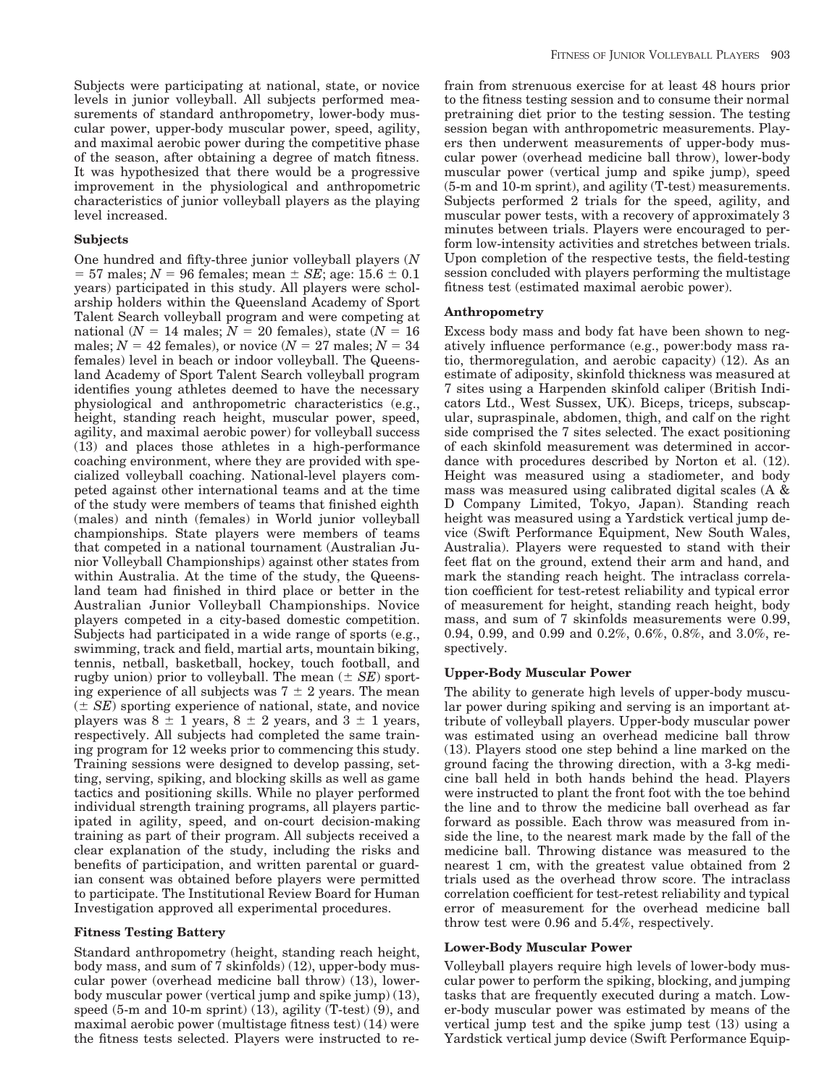Subjects were participating at national, state, or novice levels in junior volleyball. All subjects performed measurements of standard anthropometry, lower-body muscular power, upper-body muscular power, speed, agility, and maximal aerobic power during the competitive phase of the season, after obtaining a degree of match fitness. It was hypothesized that there would be a progressive improvement in the physiological and anthropometric characteristics of junior volleyball players as the playing level increased.

#### **Subjects**

One hundred and fifty-three junior volleyball players (*N*  $= 57$  males;  $N = 96$  females; mean  $\pm SE$ ; age:  $15.6 \pm 0.1$ years) participated in this study. All players were scholarship holders within the Queensland Academy of Sport Talent Search volleyball program and were competing at  $\text{mational } (N = 14 \text{ males}; N = 20 \text{ females}), \text{state } (N = 16)$ males;  $N = 42$  females), or novice ( $N = 27$  males;  $N = 34$ females) level in beach or indoor volleyball. The Queensland Academy of Sport Talent Search volleyball program identifies young athletes deemed to have the necessary physiological and anthropometric characteristics (e.g., height, standing reach height, muscular power, speed, agility, and maximal aerobic power) for volleyball success (13) and places those athletes in a high-performance coaching environment, where they are provided with specialized volleyball coaching. National-level players competed against other international teams and at the time of the study were members of teams that finished eighth (males) and ninth (females) in World junior volleyball championships. State players were members of teams that competed in a national tournament (Australian Junior Volleyball Championships) against other states from within Australia. At the time of the study, the Queensland team had finished in third place or better in the Australian Junior Volleyball Championships. Novice players competed in a city-based domestic competition. Subjects had participated in a wide range of sports (e.g., swimming, track and field, martial arts, mountain biking, tennis, netball, basketball, hockey, touch football, and rugby union) prior to volleyball. The mean  $(\pm SE)$  sporting experience of all subjects was  $7 \pm 2$  years. The mean  $(± SE)$  sporting experience of national, state, and novice players was  $8 \pm 1$  years,  $8 \pm 2$  years, and  $3 \pm 1$  years, respectively. All subjects had completed the same training program for 12 weeks prior to commencing this study. Training sessions were designed to develop passing, setting, serving, spiking, and blocking skills as well as game tactics and positioning skills. While no player performed individual strength training programs, all players participated in agility, speed, and on-court decision-making training as part of their program. All subjects received a clear explanation of the study, including the risks and benefits of participation, and written parental or guardian consent was obtained before players were permitted to participate. The Institutional Review Board for Human Investigation approved all experimental procedures.

## **Fitness Testing Battery**

Standard anthropometry (height, standing reach height, body mass, and sum of 7 skinfolds) (12), upper-body muscular power (overhead medicine ball throw) (13), lowerbody muscular power (vertical jump and spike jump) (13), speed (5-m and 10-m sprint) (13), agility (T-test) (9), and maximal aerobic power (multistage fitness test) (14) were the fitness tests selected. Players were instructed to re-

frain from strenuous exercise for at least 48 hours prior to the fitness testing session and to consume their normal pretraining diet prior to the testing session. The testing session began with anthropometric measurements. Players then underwent measurements of upper-body muscular power (overhead medicine ball throw), lower-body muscular power (vertical jump and spike jump), speed (5-m and 10-m sprint), and agility (T-test) measurements. Subjects performed 2 trials for the speed, agility, and muscular power tests, with a recovery of approximately 3 minutes between trials. Players were encouraged to perform low-intensity activities and stretches between trials. Upon completion of the respective tests, the field-testing session concluded with players performing the multistage fitness test (estimated maximal aerobic power).

#### **Anthropometry**

Excess body mass and body fat have been shown to negatively influence performance (e.g., power:body mass ratio, thermoregulation, and aerobic capacity) (12). As an estimate of adiposity, skinfold thickness was measured at 7 sites using a Harpenden skinfold caliper (British Indicators Ltd., West Sussex, UK). Biceps, triceps, subscapular, supraspinale, abdomen, thigh, and calf on the right side comprised the 7 sites selected. The exact positioning of each skinfold measurement was determined in accordance with procedures described by Norton et al. (12). Height was measured using a stadiometer, and body mass was measured using calibrated digital scales (A & D Company Limited, Tokyo, Japan). Standing reach height was measured using a Yardstick vertical jump device (Swift Performance Equipment, New South Wales, Australia). Players were requested to stand with their feet flat on the ground, extend their arm and hand, and mark the standing reach height. The intraclass correlation coefficient for test-retest reliability and typical error of measurement for height, standing reach height, body mass, and sum of 7 skinfolds measurements were 0.99, 0.94, 0.99, and 0.99 and 0.2%, 0.6%, 0.8%, and 3.0%, respectively.

#### **Upper-Body Muscular Power**

The ability to generate high levels of upper-body muscular power during spiking and serving is an important attribute of volleyball players. Upper-body muscular power was estimated using an overhead medicine ball throw (13). Players stood one step behind a line marked on the ground facing the throwing direction, with a 3-kg medicine ball held in both hands behind the head. Players were instructed to plant the front foot with the toe behind the line and to throw the medicine ball overhead as far forward as possible. Each throw was measured from inside the line, to the nearest mark made by the fall of the medicine ball. Throwing distance was measured to the nearest 1 cm, with the greatest value obtained from 2 trials used as the overhead throw score. The intraclass correlation coefficient for test-retest reliability and typical error of measurement for the overhead medicine ball throw test were 0.96 and 5.4%, respectively.

#### **Lower-Body Muscular Power**

Volleyball players require high levels of lower-body muscular power to perform the spiking, blocking, and jumping tasks that are frequently executed during a match. Lower-body muscular power was estimated by means of the vertical jump test and the spike jump test (13) using a Yardstick vertical jump device (Swift Performance Equip-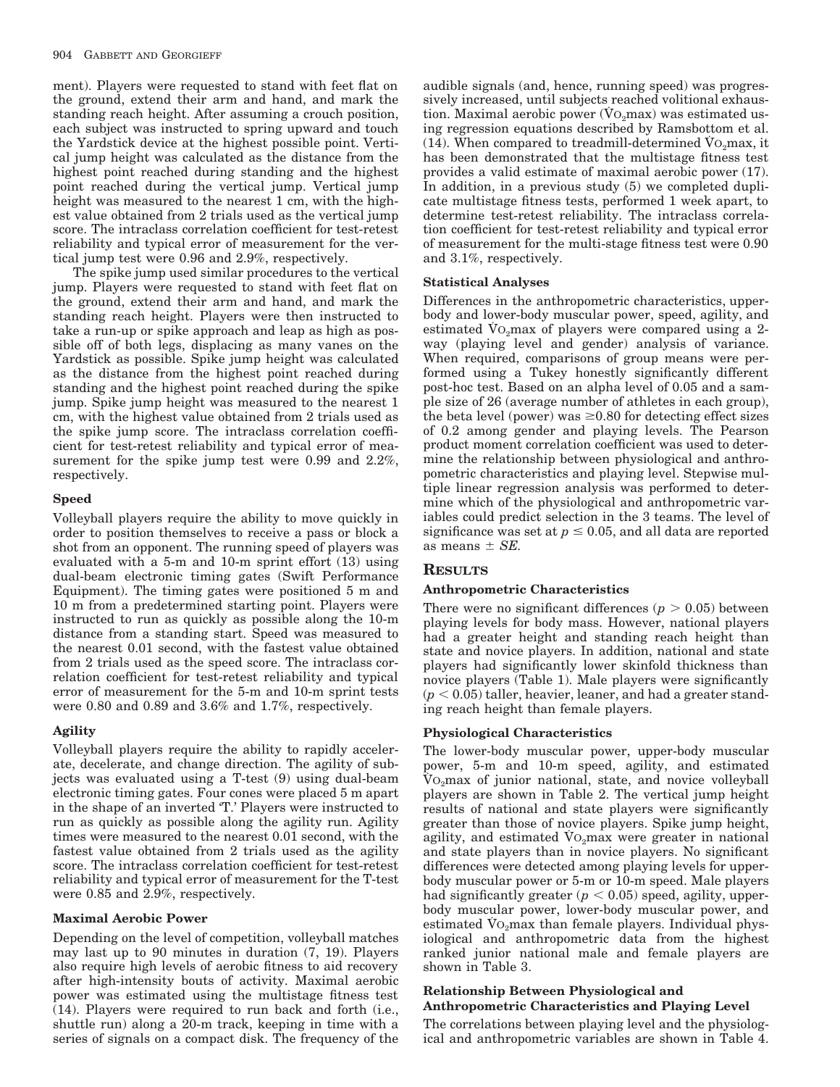ment). Players were requested to stand with feet flat on the ground, extend their arm and hand, and mark the standing reach height. After assuming a crouch position, each subject was instructed to spring upward and touch the Yardstick device at the highest possible point. Vertical jump height was calculated as the distance from the highest point reached during standing and the highest point reached during the vertical jump. Vertical jump height was measured to the nearest 1 cm, with the highest value obtained from 2 trials used as the vertical jump score. The intraclass correlation coefficient for test-retest reliability and typical error of measurement for the vertical jump test were 0.96 and 2.9%, respectively.

The spike jump used similar procedures to the vertical jump. Players were requested to stand with feet flat on the ground, extend their arm and hand, and mark the standing reach height. Players were then instructed to take a run-up or spike approach and leap as high as possible off of both legs, displacing as many vanes on the Yardstick as possible. Spike jump height was calculated as the distance from the highest point reached during standing and the highest point reached during the spike jump. Spike jump height was measured to the nearest 1 cm, with the highest value obtained from 2 trials used as the spike jump score. The intraclass correlation coefficient for test-retest reliability and typical error of measurement for the spike jump test were 0.99 and 2.2%, respectively.

## **Speed**

Volleyball players require the ability to move quickly in order to position themselves to receive a pass or block a shot from an opponent. The running speed of players was evaluated with a 5-m and 10-m sprint effort (13) using dual-beam electronic timing gates (Swift Performance Equipment). The timing gates were positioned 5 m and 10 m from a predetermined starting point. Players were instructed to run as quickly as possible along the 10-m distance from a standing start. Speed was measured to the nearest 0.01 second, with the fastest value obtained from 2 trials used as the speed score. The intraclass correlation coefficient for test-retest reliability and typical error of measurement for the 5-m and 10-m sprint tests were 0.80 and 0.89 and 3.6% and 1.7%, respectively.

# **Agility**

Volleyball players require the ability to rapidly accelerate, decelerate, and change direction. The agility of subjects was evaluated using a T-test (9) using dual-beam electronic timing gates. Four cones were placed 5 m apart in the shape of an inverted 'T.' Players were instructed to run as quickly as possible along the agility run. Agility times were measured to the nearest 0.01 second, with the fastest value obtained from 2 trials used as the agility score. The intraclass correlation coefficient for test-retest reliability and typical error of measurement for the T-test were 0.85 and 2.9%, respectively.

## **Maximal Aerobic Power**

Depending on the level of competition, volleyball matches may last up to 90 minutes in duration (7, 19). Players also require high levels of aerobic fitness to aid recovery after high-intensity bouts of activity. Maximal aerobic power was estimated using the multistage fitness test (14). Players were required to run back and forth (i.e., shuttle run) along a 20-m track, keeping in time with a series of signals on a compact disk. The frequency of the audible signals (and, hence, running speed) was progressively increased, until subjects reached volitional exhaustion. Maximal aerobic power  $(\dot{V}O_2 \text{max})$  was estimated using regression equations described by Ramsbottom et al. (14). When compared to treadmill-determined  $\rm{Vo}_{2}$  max, it has been demonstrated that the multistage fitness test provides a valid estimate of maximal aerobic power (17). In addition, in a previous study (5) we completed duplicate multistage fitness tests, performed 1 week apart, to determine test-retest reliability. The intraclass correlation coefficient for test-retest reliability and typical error of measurement for the multi-stage fitness test were 0.90 and 3.1%, respectively.

## **Statistical Analyses**

Differences in the anthropometric characteristics, upperbody and lower-body muscular power, speed, agility, and estimated  $Vo<sub>2</sub>$  max of players were compared using a 2way (playing level and gender) analysis of variance. When required, comparisons of group means were performed using a Tukey honestly significantly different post-hoc test. Based on an alpha level of 0.05 and a sample size of 26 (average number of athletes in each group), the beta level (power) was  $\geq 0.80$  for detecting effect sizes of 0.2 among gender and playing levels. The Pearson product moment correlation coefficient was used to determine the relationship between physiological and anthropometric characteristics and playing level. Stepwise multiple linear regression analysis was performed to determine which of the physiological and anthropometric variables could predict selection in the 3 teams. The level of significance was set at  $p \leq 0.05$ , and all data are reported as means  $\pm$  *SE*.

# **RESULTS**

# **Anthropometric Characteristics**

There were no significant differences ( $p > 0.05$ ) between playing levels for body mass. However, national players had a greater height and standing reach height than state and novice players. In addition, national and state players had significantly lower skinfold thickness than novice players (Table 1). Male players were significantly  $(p < 0.05)$  taller, heavier, leaner, and had a greater standing reach height than female players.

# **Physiological Characteristics**

The lower-body muscular power, upper-body muscular power, 5-m and 10-m speed, agility, and estimated  $\rm\dot{V}o_2$  max of junior national, state, and novice volleyball players are shown in Table 2. The vertical jump height results of national and state players were significantly greater than those of novice players. Spike jump height, agility, and estimated  $\overline{V}O_2$  max were greater in national and state players than in novice players. No significant differences were detected among playing levels for upperbody muscular power or 5-m or 10-m speed. Male players had significantly greater  $(p < 0.05)$  speed, agility, upperbody muscular power, lower-body muscular power, and estimated V<sub>O2</sub>max than female players. Individual physiological and anthropometric data from the highest ranked junior national male and female players are shown in Table 3.

## **Relationship Between Physiological and Anthropometric Characteristics and Playing Level**

The correlations between playing level and the physiological and anthropometric variables are shown in Table 4.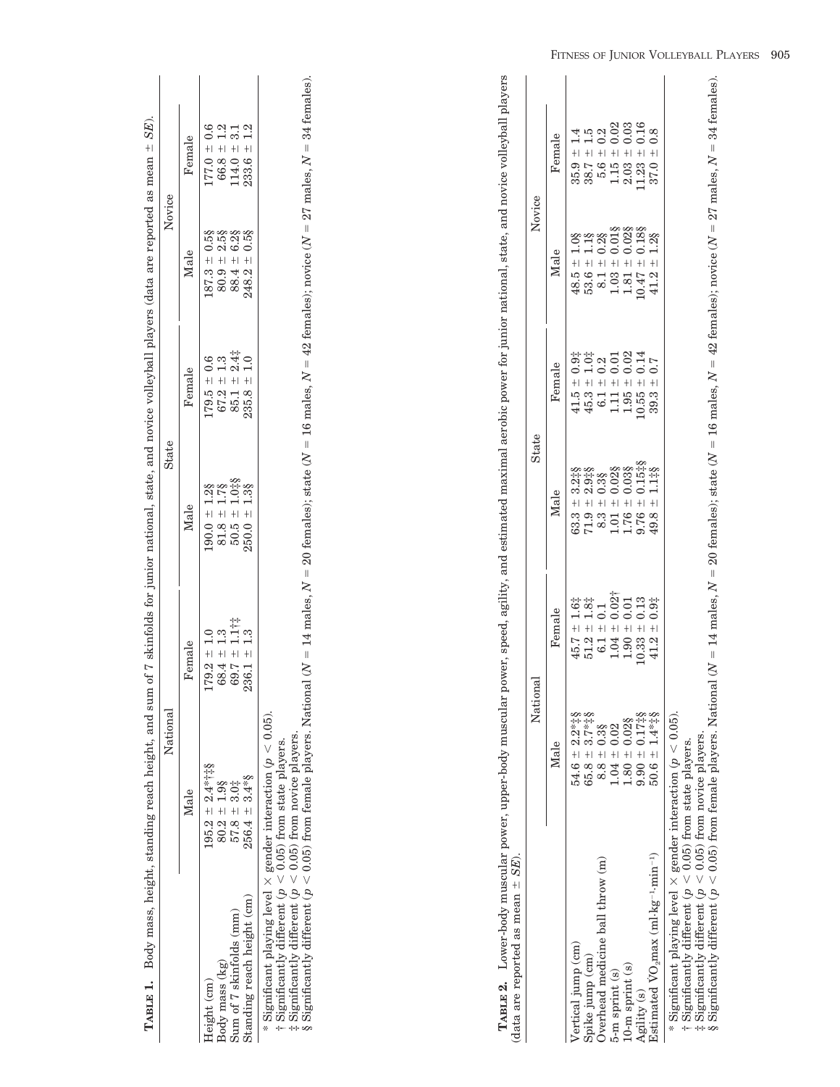|                            | National                         |                   | <b>State</b>                                                   |                  | Novice                              |                                   |
|----------------------------|----------------------------------|-------------------|----------------------------------------------------------------|------------------|-------------------------------------|-----------------------------------|
|                            | Male                             | Female            | Male                                                           | Female           | Male                                | Female                            |
| Jeight (cm)                | $195.2 \pm 2.4**$ $\frac{18}{3}$ | $79.2 \pm 1.0$    | $190.0 + 1.2$ §                                                | $179.5 = 0.6$    |                                     |                                   |
| 3ody mass (kg)             | $80.2 \pm 1.9$ §                 | $68.4 \pm 1.3$    |                                                                | $67.2 \pm 1.3$   | $187.3 \pm 0.58$<br>$80.9 \pm 2.58$ | $177.0 \pm 0.6$<br>66.8 $\pm$ 1.2 |
| Sum of 7 skinfolds (mm)    | $57.8 \pm 3.01$                  | $69.7 \pm 1.1$ †‡ | $\begin{array}{c} 81.8 \pm 1.78 \\ 50.5 \pm 1.048 \end{array}$ | $85.1 \pm 2.4$ # | $88.4 \pm 6.2$ §                    | $.14.0 = 3.1$                     |
| standing reach height (cm) | $256.4 \pm 3.4$ *§               | $236.1 \pm 1.3$   | $250.0 + 1.38$                                                 | $235.8 \pm 1.0$  | $248.2 \pm 0.58$                    | $233.6 \pm 1.2$                   |

\* Significant playing level  $\times$  gender interaction ( $p < 0.05$ ).

 $\dagger$  Significantly different ( $p < 0.05$ ) from state players.

 $\ddagger$  Significantly different ( $p < 0.05$ ) from novice players.  $+ + \infty$ 

 $\begin{array}{l} \text{{{\sc{minmax}}}} \text{{{\sc{minmax}}}} \text{{{\sc{minmax}}}} \text{{{\sc{minmax}}}} \text{{{\sc{minmax}}}} \text{{{\sc{minmax}}}} \text{{{\sc{minmax}}}} \text{{{\sc{minmax}}}} \text{{{\sc{minmax}}}} \text{{{\sc{minmax}}}} \text{{{\sc{minmax}}}} \text{{{\sc{minmax}}}} \text{{{\sc{minmax}}}} \text{{{\sc{minmax}}}} \text{{{\sc{minmax}}}} \text{{{\sc{minmax}}}} \text{{{\sc{minmax}}}} \text{{{\sc{minmax}}}} \text{{{\sc{minmax}}}} \text{{{$  34 females).  $= 27$  males,  $N =$  $= 42$  females); novice  $(N =$  $= 16$  males,  $N =$  $= 20$  females); state  $(N =$  $= 14$  males,  $N =$ § Significantly different ( $p < 0.05$ ) from female players. National ( $N =$ 

TABLE 2. Lower-body muscular power, upper-body muscular power, speed, agility, and estimated maximal aerobic power for junior national, state, and novice volleyball players<br>(data are reported as mean ± *SE*). **TABLE 2.** Lower-body muscular power, upper-body muscular power, speed, agility, and estimated maximal aerobic power for junior national, state, and novice volleyball players  $(data$  are reported as mean  $\pm$  *SE*).

|                                                                                                                                                                                                             | National                      |                                                                                                                                                                        | <b>State</b>                                                                                                                                                                                                  |                                                                                                                                                                                                                                | Novice                                                                                                                                            |                                                                                                                                                                                |  |
|-------------------------------------------------------------------------------------------------------------------------------------------------------------------------------------------------------------|-------------------------------|------------------------------------------------------------------------------------------------------------------------------------------------------------------------|---------------------------------------------------------------------------------------------------------------------------------------------------------------------------------------------------------------|--------------------------------------------------------------------------------------------------------------------------------------------------------------------------------------------------------------------------------|---------------------------------------------------------------------------------------------------------------------------------------------------|--------------------------------------------------------------------------------------------------------------------------------------------------------------------------------|--|
|                                                                                                                                                                                                             | $_{\rm Male}$                 | Female                                                                                                                                                                 | Male                                                                                                                                                                                                          | Female                                                                                                                                                                                                                         | Male                                                                                                                                              | Female                                                                                                                                                                         |  |
| Vertical jump (cm)                                                                                                                                                                                          | $54.6 \pm 2.2**$              |                                                                                                                                                                        |                                                                                                                                                                                                               |                                                                                                                                                                                                                                |                                                                                                                                                   |                                                                                                                                                                                |  |
| Spike jump (cm)                                                                                                                                                                                             | $65.8 \pm 3.7**$              |                                                                                                                                                                        |                                                                                                                                                                                                               |                                                                                                                                                                                                                                |                                                                                                                                                   |                                                                                                                                                                                |  |
| Overhead medicine ball throw (m)                                                                                                                                                                            | $8.8 \pm 0.3$                 | $\begin{array}{c} 45.7 \pm 1.63 \\ 51.2 \pm 1.83 \\ 6.1 \pm 0.1 \\ 1.04 \pm 0.023 \\ 1.30 \pm 0.023 \\ 1.90 \pm 0.01 \\ 1.90 \pm 0.01 \\ 1.90 \pm 0.01 \\ \end{array}$ |                                                                                                                                                                                                               | $\begin{array}{c} 41.5 \ \pm \ 0.9^{\pm} \\ 45.3 \ \pm \ 1.0^{\pm} \\ 6.1 \ \pm \ 0.2 \\ 6.1 \ \pm \ 0.01 \\ 1.11 \ \pm \ 0.01 \\ 1.95 \ \pm \ 0.02 \\ 0.05 \ \pm \ 0.14 \\ 0.05 \ \pm \ 0.14 \\ 0.39 \ \pm \ 0.7 \end{array}$ | $\begin{array}{c} 48.5\pm 1.0\S \\ 53.6\pm 1.1\S \\ 8.1\pm 0.2\S \\ 1.03\pm 0.01\S \\ 1.01\pm 0.01S \\ 1.01\pm 0.028\\ 1.01\pm 0.028 \end{array}$ | $\begin{array}{c} 35.9 \pm 1.4 \\ 38.7 \pm 1.5 \\ 38.7 \pm 1.5 \\ 5.6 \pm 0.2 \\ 1.15 \pm 0.05 \\ 2.03 \pm 0.00 \\ 1.13 \pm 0.00 \\ 1.123 \pm 0.1 \\ 1.23 \pm 0.8 \end{array}$ |  |
| 5-m sprint (s)                                                                                                                                                                                              | $1.04 \pm 0.02$               |                                                                                                                                                                        |                                                                                                                                                                                                               |                                                                                                                                                                                                                                |                                                                                                                                                   | $0.3800$<br>$0.0300$                                                                                                                                                           |  |
| $10-m$ sprint $(s)$                                                                                                                                                                                         | $1.80 \pm 0.02$ §             |                                                                                                                                                                        |                                                                                                                                                                                                               |                                                                                                                                                                                                                                |                                                                                                                                                   |                                                                                                                                                                                |  |
| Agility (s)                                                                                                                                                                                                 | $9.90 \pm 0.17$ $\frac{1}{2}$ |                                                                                                                                                                        |                                                                                                                                                                                                               |                                                                                                                                                                                                                                |                                                                                                                                                   |                                                                                                                                                                                |  |
| $\text{Estimated } \text{VO}_{2}$ max (ml $\cdot$ kg <sup>-1</sup> ·min <sup>-1</sup> )                                                                                                                     | $50.6 \pm 1.4**$ \$           | 0.91<br>$41.2 +$                                                                                                                                                       | $71.9 \pm 3.2\frac{48}{3}$<br>$71.9 \pm 2.9\frac{48}{3}$<br>$8.3 \pm 0.3\frac{8}{3}$<br>$1.01 \pm 0.02\frac{8}{3}$<br>$1.76 \pm 0.03\frac{8}{3}$<br>$9.76 \pm 0.15\frac{48}{3}$<br>49.8 $\pm 1.1\frac{48}{3}$ |                                                                                                                                                                                                                                | 1.28                                                                                                                                              |                                                                                                                                                                                |  |
| * Significant playing level $\times$ gender interaction ( $p < 0.05$ ).<br>t Cinnific at Liffe and LAO And Announcement and the Cinnific th<br>† Significantly different ( $p < 0.05$ ) from state players. |                               |                                                                                                                                                                        |                                                                                                                                                                                                               |                                                                                                                                                                                                                                |                                                                                                                                                   |                                                                                                                                                                                |  |

‡ Significantly different (p < 0.05) from novice players.<br>§ Significantly different (p < 0.05) from female players. National (N = 14 males, N = 20 females); state (N = 16 males, N = 42 females); novice (N = 27 males, N =  $= 16$  males,  $N =$  $= 20$  females); state ( $N =$  $= 14$  males,  $N =$ § Significantly different ( $p < 0.05$ ) from female players. National ( $N =$  $\ddagger$  Significantly different ( $p < 0.05$ ) from novice players.

 $= 42$  females); novice  $(N =$ 

 $= 27$  males,  $N =$ 

34 females).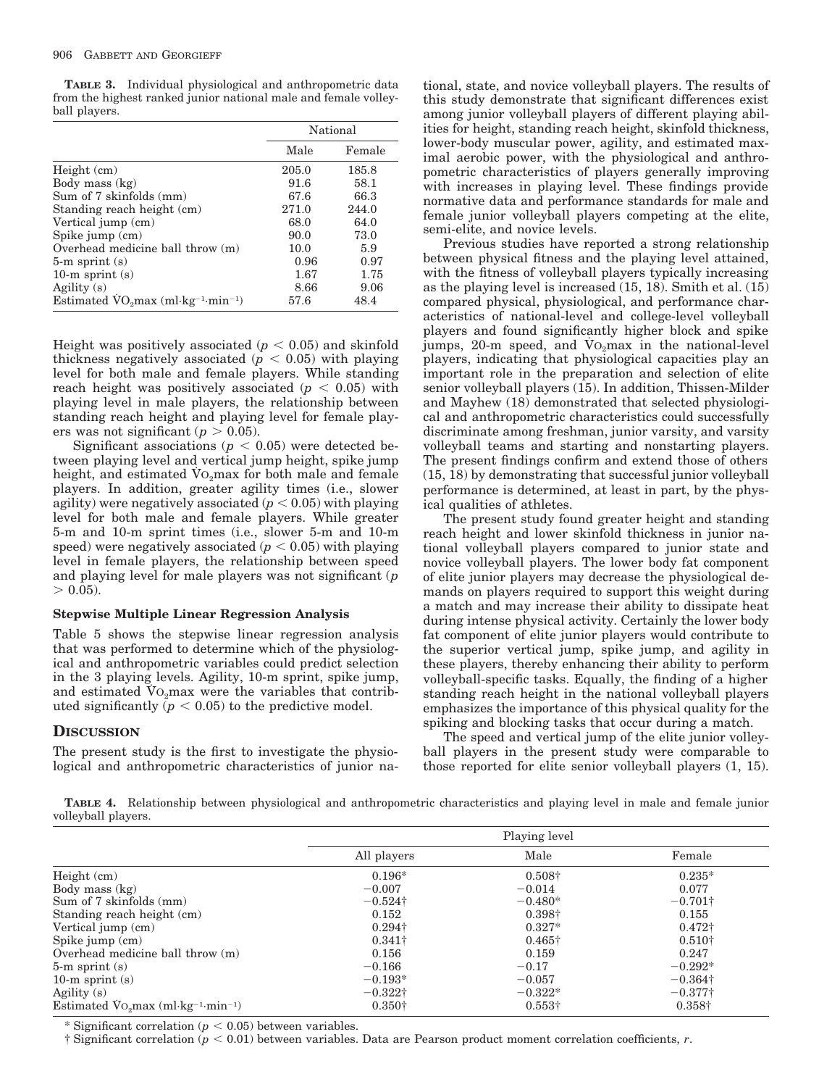**TABLE 3.** Individual physiological and anthropometric data from the highest ranked junior national male and female volleyball players.

|                                    | National |        |
|------------------------------------|----------|--------|
|                                    | Male     | Female |
| Height (cm)                        | 205.0    | 185.8  |
| Body mass (kg)                     | 91.6     | 58.1   |
| Sum of 7 skinfolds (mm)            | 67.6     | 66.3   |
| Standing reach height (cm)         | 271.0    | 244.0  |
| Vertical jump (cm)                 | 68.0     | 64.0   |
| Spike jump (cm)                    | 90.0     | 73.0   |
| Overhead medicine ball throw (m)   | 10.0     | 5.9    |
| $5-m$ sprint $(s)$                 | 0.96     | 0.97   |
| 10-m sprint $(s)$                  | 1.67     | 1.75   |
| Agility $(s)$                      | 8.66     | 9.06   |
| Estimated $VO9max (ml·kg-1·min-1)$ | 57.6     | 48.4   |

Height was positively associated  $(p < 0.05)$  and skinfold thickness negatively associated  $(p < 0.05)$  with playing level for both male and female players. While standing reach height was positively associated  $(p < 0.05)$  with playing level in male players, the relationship between standing reach height and playing level for female players was not significant ( $p > 0.05$ ).

Significant associations ( $p < 0.05$ ) were detected between playing level and vertical jump height, spike jump height, and estimated  $VO<sub>2</sub>$  max for both male and female players. In addition, greater agility times (i.e., slower agility) were negatively associated  $(p < 0.05)$  with playing level for both male and female players. While greater 5-m and 10-m sprint times (i.e., slower 5-m and 10-m speed) were negatively associated  $(p < 0.05)$  with playing level in female players, the relationship between speed and playing level for male players was not significant (*p*  $> 0.05$ ).

#### **Stepwise Multiple Linear Regression Analysis**

Table 5 shows the stepwise linear regression analysis that was performed to determine which of the physiological and anthropometric variables could predict selection in the 3 playing levels. Agility, 10-m sprint, spike jump, and estimated  $\overline{V}$ <sub>0</sub> $\overline{v}$ <sub>0</sub> $\overline{v}$ <sub>2</sub> were the variables that contributed significantly  $(p < 0.05)$  to the predictive model.

## **DISCUSSION**

The present study is the first to investigate the physiological and anthropometric characteristics of junior national, state, and novice volleyball players. The results of this study demonstrate that significant differences exist among junior volleyball players of different playing abilities for height, standing reach height, skinfold thickness, lower-body muscular power, agility, and estimated maximal aerobic power, with the physiological and anthropometric characteristics of players generally improving with increases in playing level. These findings provide normative data and performance standards for male and female junior volleyball players competing at the elite, semi-elite, and novice levels.

Previous studies have reported a strong relationship between physical fitness and the playing level attained, with the fitness of volleyball players typically increasing as the playing level is increased (15, 18). Smith et al. (15) compared physical, physiological, and performance characteristics of national-level and college-level volleyball players and found significantly higher block and spike jumps, 20-m speed, and  $VO<sub>2</sub>max$  in the national-level players, indicating that physiological capacities play an important role in the preparation and selection of elite senior volleyball players (15). In addition, Thissen-Milder and Mayhew (18) demonstrated that selected physiological and anthropometric characteristics could successfully discriminate among freshman, junior varsity, and varsity volleyball teams and starting and nonstarting players. The present findings confirm and extend those of others (15, 18) by demonstrating that successful junior volleyball performance is determined, at least in part, by the physical qualities of athletes.

The present study found greater height and standing reach height and lower skinfold thickness in junior national volleyball players compared to junior state and novice volleyball players. The lower body fat component of elite junior players may decrease the physiological demands on players required to support this weight during a match and may increase their ability to dissipate heat during intense physical activity. Certainly the lower body fat component of elite junior players would contribute to the superior vertical jump, spike jump, and agility in these players, thereby enhancing their ability to perform volleyball-specific tasks. Equally, the finding of a higher standing reach height in the national volleyball players emphasizes the importance of this physical quality for the spiking and blocking tasks that occur during a match.

The speed and vertical jump of the elite junior volleyball players in the present study were comparable to those reported for elite senior volleyball players (1, 15).

**TABLE 4.** Relationship between physiological and anthropometric characteristics and playing level in male and female junior volleyball players.

|                                    | Playing level   |                |                 |  |
|------------------------------------|-----------------|----------------|-----------------|--|
|                                    | All players     | Male           | Female          |  |
| Height (cm)                        | $0.196*$        | $0.508+$       | $0.235*$        |  |
| Body mass (kg)                     | $-0.007$        | $-0.014$       | 0.077           |  |
| Sum of 7 skinfolds (mm)            | $-0.524\dagger$ | $-0.480*$      | $-0.701\dagger$ |  |
| Standing reach height (cm)         | 0.152           | 0.398†         | 0.155           |  |
| Vertical jump (cm)                 | $0.294\dagger$  | $0.327*$       | $0.472\dagger$  |  |
| Spike jump (cm)                    | $0.341\dagger$  | $0.465\dagger$ | $0.510\dagger$  |  |
| Overhead medicine ball throw (m)   | 0.156           | 0.159          | 0.247           |  |
| $5-m$ sprint $(s)$                 | $-0.166$        | $-0.17$        | $-0.292*$       |  |
| 10-m sprint $(s)$                  | $-0.193*$       | $-0.057$       | $-0.364\dagger$ |  |
| Agility $(s)$                      | $-0.322$ †      | $-0.322*$      | $-0.377\dagger$ |  |
| Estimated $Vo2max (ml·kg-1·min-1)$ | $0.350\dagger$  | $0.553\dagger$ | $0.358\dagger$  |  |

\* Significant correlation ( $p < 0.05$ ) between variables.

† Significant correlation (*p* 0.01) between variables. Data are Pearson product moment correlation coefficients, *r*.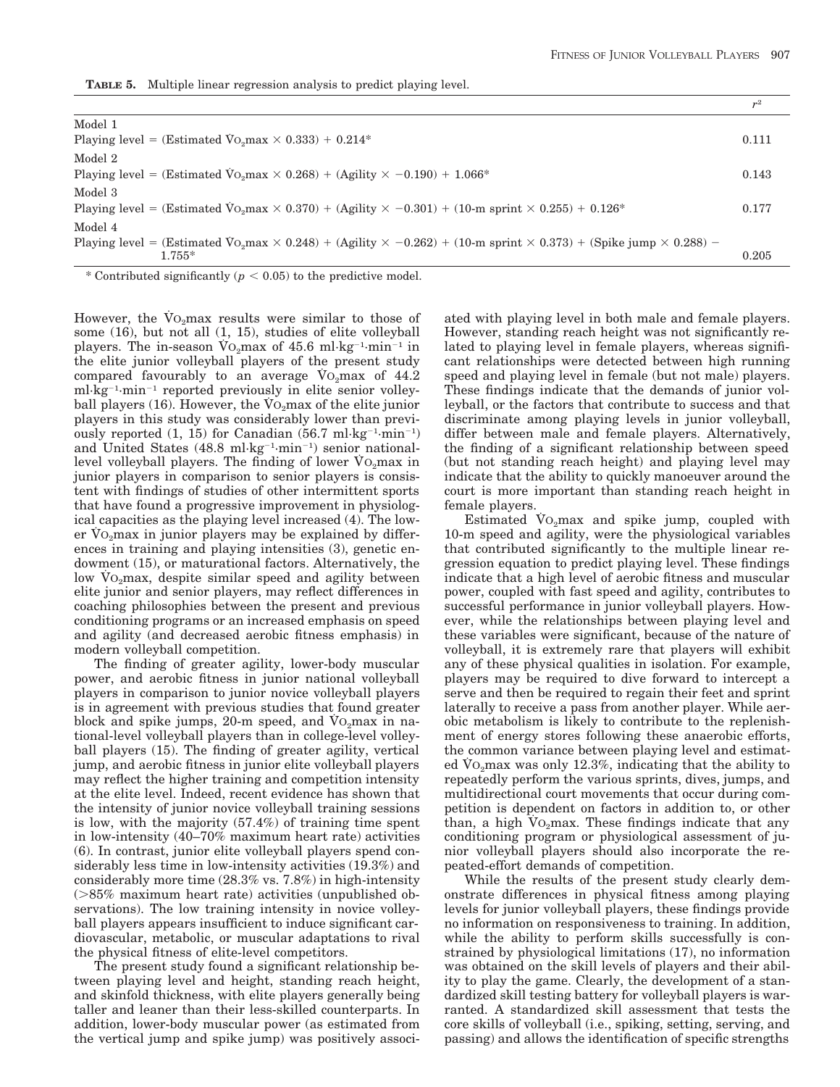**TABLE 5.** Multiple linear regression analysis to predict playing level.

|                                                                                                                                                                       | $r^2$ |
|-----------------------------------------------------------------------------------------------------------------------------------------------------------------------|-------|
| Model 1                                                                                                                                                               |       |
| Playing level = (Estimated $\overline{V}$ O <sub>2</sub> max $\times$ 0.333) + 0.214 <sup>*</sup>                                                                     | 0.111 |
| Model 2                                                                                                                                                               |       |
| Playing level = (Estimated Vo <sub>2</sub> max $\times$ 0.268) + (Agility $\times$ -0.190) + 1.066 <sup>*</sup>                                                       | 0.143 |
| Model 3                                                                                                                                                               |       |
| Playing level = (Estimated Vo, max $\times$ 0.370) + (Agility $\times$ -0.301) + (10-m sprint $\times$ 0.255) + 0.126 <sup>*</sup>                                    | 0.177 |
| Model 4                                                                                                                                                               |       |
| Playing level = (Estimated Vo <sub>2</sub> max $\times$ 0.248) + (Agility $\times$ -0.262) + (10-m sprint $\times$ 0.373) + (Spike jump $\times$ 0.288) -<br>$1.755*$ | 0.205 |

 $*$  Contributed significantly ( $p < 0.05$ ) to the predictive model.

However, the  $Vo<sub>2</sub>$  max results were similar to those of some (16), but not all (1, 15), studies of elite volleyball players. The in-season  $VO<sub>2</sub>max$  of 45.6 ml·kg<sup>-1</sup>·min<sup>-1</sup> in the elite junior volleyball players of the present study compared favourably to an average  $\overline{V}$ O<sub>2</sub>max of 44.2  $ml·kg^{-1}·min^{-1}$  reported previously in elite senior volleyball players (16). However, the  $Vo<sub>2</sub>$ max of the elite junior players in this study was considerably lower than previously reported  $(1, 15)$  for Canadian  $(56.7 \text{ ml·kg}^{-1} \cdot \text{min}^{-1})$ and United States (48.8 ml·kg<sup>-1</sup>·min<sup>-1</sup>) senior nationallevel volleyball players. The finding of lower  $\dot{V}$ <sub>O2</sub>max in junior players in comparison to senior players is consistent with findings of studies of other intermittent sports that have found a progressive improvement in physiological capacities as the playing level increased (4). The lower  $\dot{V}$ O<sub>2</sub>max in junior players may be explained by differences in training and playing intensities (3), genetic endowment (15), or maturational factors. Alternatively, the low  $Vo<sub>2</sub>$  max, despite similar speed and agility between elite junior and senior players, may reflect differences in coaching philosophies between the present and previous conditioning programs or an increased emphasis on speed and agility (and decreased aerobic fitness emphasis) in modern volleyball competition.

The finding of greater agility, lower-body muscular power, and aerobic fitness in junior national volleyball players in comparison to junior novice volleyball players is in agreement with previous studies that found greater block and spike jumps,  $20-m$  speed, and  $\overline{V}$ <sub>0</sub> $\overline{v}$ max in national-level volleyball players than in college-level volleyball players (15). The finding of greater agility, vertical jump, and aerobic fitness in junior elite volleyball players may reflect the higher training and competition intensity at the elite level. Indeed, recent evidence has shown that the intensity of junior novice volleyball training sessions is low, with the majority  $(57.4%)$  of training time spent in low-intensity (40–70% maximum heart rate) activities (6). In contrast, junior elite volleyball players spend considerably less time in low-intensity activities (19.3%) and considerably more time (28.3% vs. 7.8%) in high-intensity  $($ >85% maximum heart rate) activities (unpublished observations). The low training intensity in novice volleyball players appears insufficient to induce significant cardiovascular, metabolic, or muscular adaptations to rival the physical fitness of elite-level competitors.

The present study found a significant relationship between playing level and height, standing reach height, and skinfold thickness, with elite players generally being taller and leaner than their less-skilled counterparts. In addition, lower-body muscular power (as estimated from the vertical jump and spike jump) was positively associ-

ated with playing level in both male and female players. However, standing reach height was not significantly related to playing level in female players, whereas significant relationships were detected between high running speed and playing level in female (but not male) players. These findings indicate that the demands of junior volleyball, or the factors that contribute to success and that discriminate among playing levels in junior volleyball, differ between male and female players. Alternatively, the finding of a significant relationship between speed (but not standing reach height) and playing level may indicate that the ability to quickly manoeuver around the court is more important than standing reach height in female players.

Estimated  $VO<sub>2</sub>max$  and spike jump, coupled with 10-m speed and agility, were the physiological variables that contributed significantly to the multiple linear regression equation to predict playing level. These findings indicate that a high level of aerobic fitness and muscular power, coupled with fast speed and agility, contributes to successful performance in junior volleyball players. However, while the relationships between playing level and these variables were significant, because of the nature of volleyball, it is extremely rare that players will exhibit any of these physical qualities in isolation. For example, players may be required to dive forward to intercept a serve and then be required to regain their feet and sprint laterally to receive a pass from another player. While aerobic metabolism is likely to contribute to the replenishment of energy stores following these anaerobic efforts, the common variance between playing level and estimated  $\dot{V}$ <sub>2</sub>max was only 12.3%, indicating that the ability to repeatedly perform the various sprints, dives, jumps, and multidirectional court movements that occur during competition is dependent on factors in addition to, or other than, a high  $\overline{V}O_2$  max. These findings indicate that any conditioning program or physiological assessment of junior volleyball players should also incorporate the repeated-effort demands of competition.

While the results of the present study clearly demonstrate differences in physical fitness among playing levels for junior volleyball players, these findings provide no information on responsiveness to training. In addition, while the ability to perform skills successfully is constrained by physiological limitations (17), no information was obtained on the skill levels of players and their ability to play the game. Clearly, the development of a standardized skill testing battery for volleyball players is warranted. A standardized skill assessment that tests the core skills of volleyball (i.e., spiking, setting, serving, and passing) and allows the identification of specific strengths